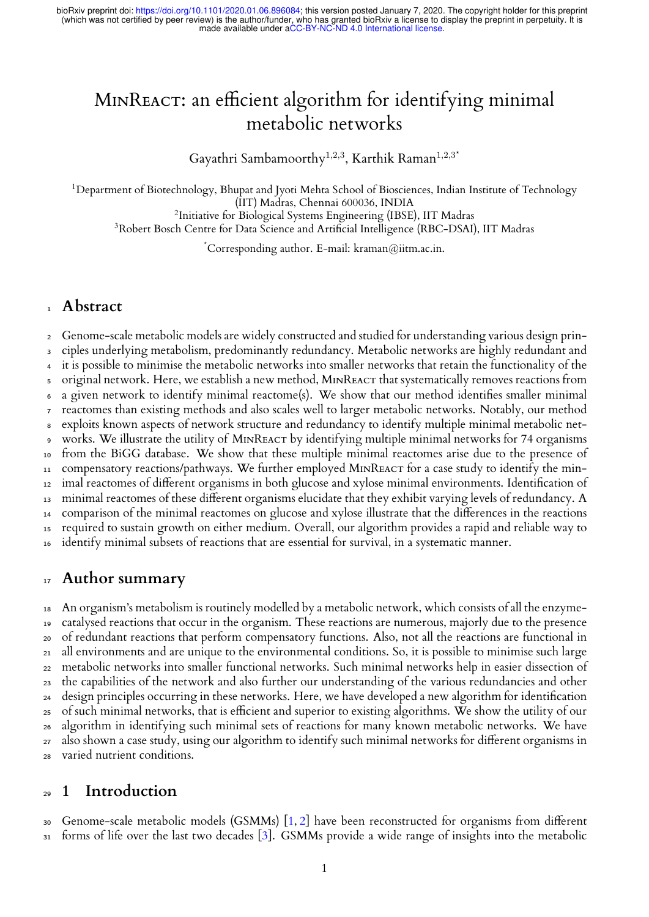# MINREACT: an efficient algorithm for identifying minimal metabolic networks

Gayathri Sambamoorthy<sup>1,2,3</sup>, Karthik Raman<sup>1,2,3</sup>\*

Department of Biotechnology, Bhupat and Jyoti Mehta School of Biosciences, Indian Institute of Technology (IIT) Madras, Chennai 600036, INDIA Initiative for Biological Systems Engineering (IBSE), IIT Madras

Robert Bosch Centre for Data Science and Artificial Intelligence (RBC-DSAI), IIT Madras

\*Corresponding author. E-mail: kraman@iitm.ac.in.

## **Abstract**

 Genome-scale metabolic models are widely constructed and studied for understanding various design prin- ciples underlying metabolism, predominantly redundancy. Metabolic networks are highly redundant and it is possible to minimise the metabolic networks into smaller networks that retain the functionality of the original network. Here, we establish a new method, MINREACT that systematically removes reactions from a given network to identify minimal reactome(s). We show that our method identifies smaller minimal reactomes than existing methods and also scales well to larger metabolic networks. Notably, our method exploits known aspects of network structure and redundancy to identify multiple minimal metabolic net- works. We illustrate the utility of MINREACT by identifying multiple minimal networks for 74 organisms from the BiGG database. We show that these multiple minimal reactomes arise due to the presence of compensatory reactions/pathways. We further employed MINREACT for a case study to identify the min- imal reactomes of different organisms in both glucose and xylose minimal environments. Identification of minimal reactomes of these different organisms elucidate that they exhibit varying levels of redundancy. A comparison of the minimal reactomes on glucose and xylose illustrate that the differences in the reactions required to sustain growth on either medium. Overall, our algorithm provides a rapid and reliable way to identify minimal subsets of reactions that are essential for survival, in a systematic manner.

## **Author summary**

 An organism's metabolism is routinely modelled by a metabolic network, which consists of all the enzyme- catalysed reactions that occur in the organism. These reactions are numerous, majorly due to the presence of redundant reactions that perform compensatory functions. Also, not all the reactions are functional in all environments and are unique to the environmental conditions. So, it is possible to minimise such large metabolic networks into smaller functional networks. Such minimal networks help in easier dissection of the capabilities of the network and also further our understanding of the various redundancies and other design principles occurring in these networks. Here, we have developed a new algorithm for identification of such minimal networks, that is efficient and superior to existing algorithms. We show the utility of our algorithm in identifying such minimal sets of reactions for many known metabolic networks. We have also shown a case study, using our algorithm to identify such minimal networks for different organisms in varied nutrient conditions.

## **1 Introduction**

 Genome-scale metabolic models (GSMMs) [1, 2] have been reconstructed for organisms from different 31 forms of life over the last two decades [3]. GSMMs provide a wide range of insights into the metabolic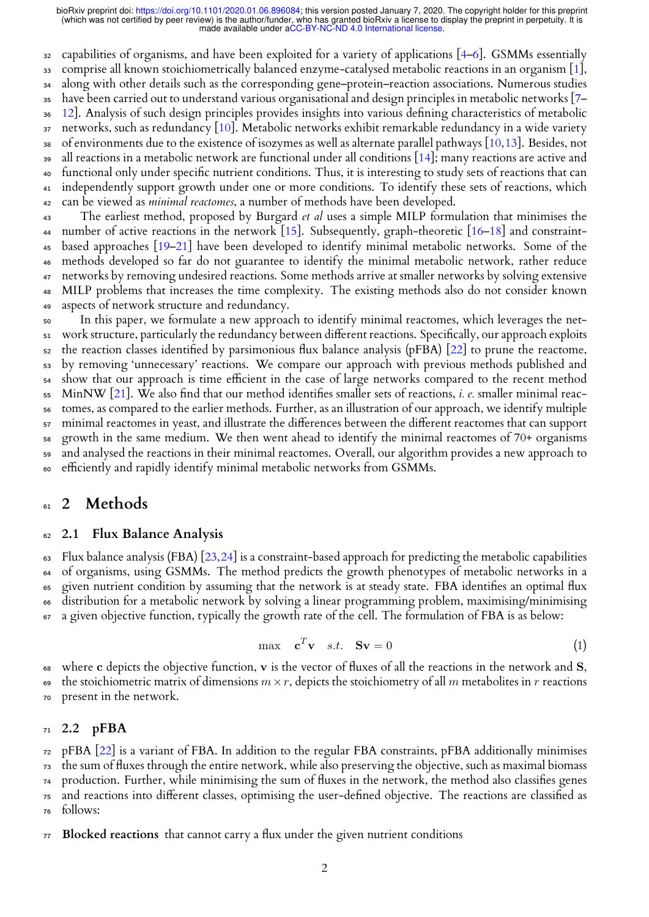capabilities of organisms, and have been exploited for a variety of applications  $[4–6]$ . GSMMs essentially 33 comprise all known stoichiometrically balanced enzyme-catalysed metabolic reactions in an organism  $|1|$ , along with other details such as the corresponding gene–protein–reaction associations. Numerous studies have been carried out to understand various organisational and design principles in metabolic networks [7– 12]. Analysis of such design principles provides insights into various defining characteristics of metabolic networks, such as redundancy [10]. Metabolic networks exhibit remarkable redundancy in a wide variety of environments due to the existence of isozymes as well as alternate parallel pathways [10,13]. Besides, not all reactions in a metabolic network are functional under all conditions [14]; many reactions are active and functional only under specific nutrient conditions. Thus, it is interesting to study sets of reactions that can independently support growth under one or more conditions. To identify these sets of reactions, which can be viewed as *minimal reactomes*, a number of methods have been developed. The earliest method, proposed by Burgard *et al* uses a simple MILP formulation that minimises the number of active reactions in the network [15]. Subsequently, graph-theoretic [16–18] and constraint- based approaches [19–21] have been developed to identify minimal metabolic networks. Some of the methods developed so far do not guarantee to identify the minimal metabolic network, rather reduce

 networks by removing undesired reactions. Some methods arrive at smaller networks by solving extensive MILP problems that increases the time complexity. The existing methods also do not consider known

aspects of network structure and redundancy.

 In this paper, we formulate a new approach to identify minimal reactomes, which leverages the net- work structure, particularly the redundancy between different reactions. Specifically, our approach exploits the reaction classes identified by parsimonious flux balance analysis (pFBA) [22] to prune the reactome, by removing 'unnecessary' reactions. We compare our approach with previous methods published and show that our approach is time efficient in the case of large networks compared to the recent method MinNW [21]. We also find that our method identifies smaller sets of reactions, *i. e.* smaller minimal reac- tomes, as compared to the earlier methods. Further, as an illustration of our approach, we identify multiple minimal reactomes in yeast, and illustrate the differences between the different reactomes that can support growth in the same medium. We then went ahead to identify the minimal reactomes of 70+ organisms and analysed the reactions in their minimal reactomes. Overall, our algorithm provides a new approach to efficiently and rapidly identify minimal metabolic networks from GSMMs.

## **2 Methods**

#### **2.1 Flux Balance Analysis**

 Flux balance analysis (FBA) [23,24] is a constraint-based approach for predicting the metabolic capabilities of organisms, using GSMMs. The method predicts the growth phenotypes of metabolic networks in a given nutrient condition by assuming that the network is at steady state. FBA identifies an optimal flux distribution for a metabolic network by solving a linear programming problem, maximising/minimising a given objective function, typically the growth rate of the cell. The formulation of FBA is as below:

$$
\max \quad \mathbf{c}^T \mathbf{v} \quad s.t. \quad \mathbf{S} \mathbf{v} = 0 \tag{1}
$$

 where c depicts the objective function, v is the vector of fluxes of all the reactions in the network and S, 69 the stoichiometric matrix of dimensions  $m \times r$ , depicts the stoichiometry of all m metabolites in r reactions present in the network.

#### **2.2 pFBA**

 pFBA [22] is a variant of FBA. In addition to the regular FBA constraints, pFBA additionally minimises the sum of fluxes through the entire network, while also preserving the objective, such as maximal biomass production. Further, while minimising the sum of fluxes in the network, the method also classifies genes and reactions into different classes, optimising the user-defined objective. The reactions are classified as follows:

**Blocked reactions** that cannot carry a flux under the given nutrient conditions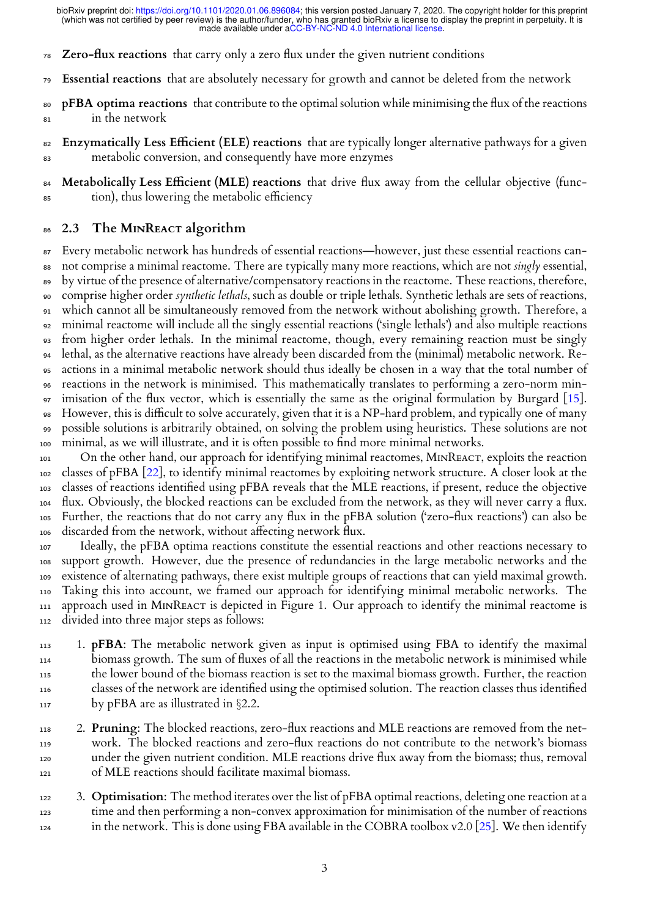**Zero-flux reactions** that carry only a zero flux under the given nutrient conditions

**Essential reactions** that are absolutely necessary for growth and cannot be deleted from the network

 **pFBA optima reactions** that contribute to the optimal solution while minimising the flux of the reactions in the network

 **Enzymatically Less Efficient (ELE) reactions** that are typically longer alternative pathways for a given metabolic conversion, and consequently have more enzymes

 **Metabolically Less Efficient (MLE) reactions** that drive flux away from the cellular objective (func-tion), thus lowering the metabolic efficiency

## **2.3 The MINREACT algorithm**

 Every metabolic network has hundreds of essential reactions—however, just these essential reactions can- not comprise a minimal reactome. There are typically many more reactions, which are not *singly* essential, by virtue of the presence of alternative/compensatory reactions in the reactome. These reactions, therefore, comprise higher order *synthetic lethals*, such as double or triple lethals. Synthetic lethals are sets of reactions, which cannot all be simultaneously removed from the network without abolishing growth. Therefore, a minimal reactome will include all the singly essential reactions ('single lethals') and also multiple reactions from higher order lethals. In the minimal reactome, though, every remaining reaction must be singly lethal, as the alternative reactions have already been discarded from the (minimal) metabolic network. Re- actions in a minimal metabolic network should thus ideally be chosen in a way that the total number of reactions in the network is minimised. This mathematically translates to performing a zero-norm min- imisation of the flux vector, which is essentially the same as the original formulation by Burgard [15]. However, this is difficult to solve accurately, given that it is a NP-hard problem, and typically one of many possible solutions is arbitrarily obtained, on solving the problem using heuristics. These solutions are not minimal, as we will illustrate, and it is often possible to find more minimal networks. On the other hand, our approach for identifying minimal reactomes, MINREACT, exploits the reaction classes of pFBA [22], to identify minimal reactomes by exploiting network structure. A closer look at the classes of reactions identified using pFBA reveals that the MLE reactions, if present, reduce the objective flux. Obviously, the blocked reactions can be excluded from the network, as they will never carry a flux. Further, the reactions that do not carry any flux in the pFBA solution ('zero-flux reactions') can also be discarded from the network, without affecting network flux. Ideally, the pFBA optima reactions constitute the essential reactions and other reactions necessary to support growth. However, due the presence of redundancies in the large metabolic networks and the existence of alternating pathways, there exist multiple groups of reactions that can yield maximal growth.

 Taking this into account, we framed our approach for identifying minimal metabolic networks. The approach used in MINREACT is depicted in Figure 1. Our approach to identify the minimal reactome is divided into three major steps as follows:

- 1. **pFBA**: The metabolic network given as input is optimised using FBA to identify the maximal biomass growth. The sum of fluxes of all the reactions in the metabolic network is minimised while the lower bound of the biomass reaction is set to the maximal biomass growth. Further, the reaction classes of the network are identified using the optimised solution. The reaction classes thus identified  $_{117}$  by pFBA are as illustrated in §2.2.
- 2. **Pruning**: The blocked reactions, zero-flux reactions and MLE reactions are removed from the net- work. The blocked reactions and zero-flux reactions do not contribute to the network's biomass under the given nutrient condition. MLE reactions drive flux away from the biomass; thus, removal of MLE reactions should facilitate maximal biomass.
- 3. **Optimisation**: The method iterates over the list of pFBA optimal reactions, deleting one reaction at a time and then performing a non-convex approximation for minimisation of the number of reactions 124 in the network. This is done using FBA available in the COBRA toolbox v2.0 [25]. We then identify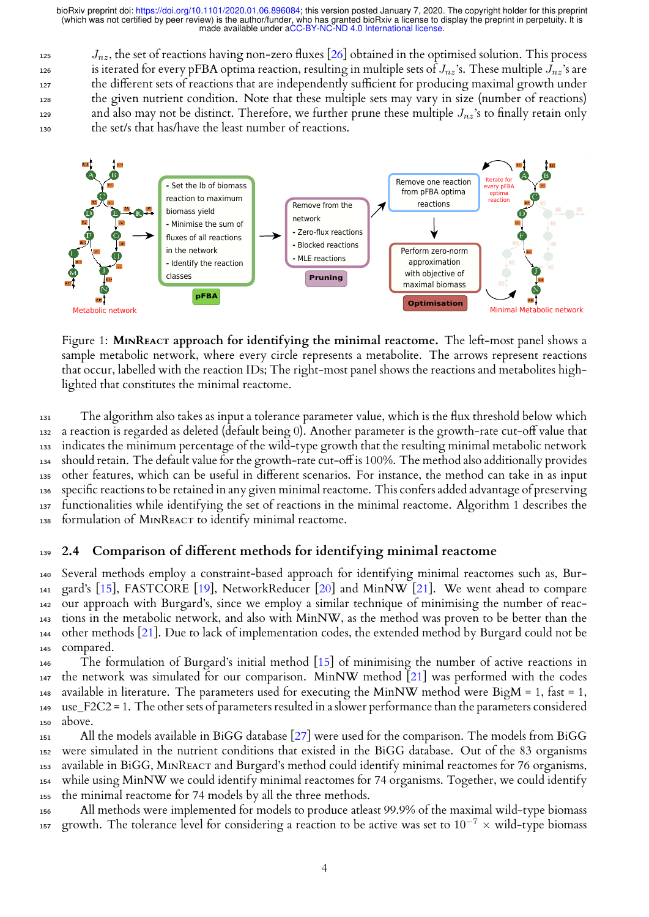$J_{nz}$ , the set of reactions having non-zero fluxes [26] obtained in the optimised solution. This process 126 is iterated for every pFBA optima reaction, resulting in multiple sets of  $J_{nz}$ 's. These multiple  $J_{nz}$ 's are <sup>127</sup> the different sets of reactions that are independently sufficient for producing maximal growth under <sup>128</sup> the given nutrient condition. Note that these multiple sets may vary in size (number of reactions) 129 and also may not be distinct. Therefore, we further prune these multiple  $J_{nz}$ 's to finally retain only <sup>130</sup> the set/s that has/have the least number of reactions.



Figure 1: **MINREACT approach for identifying the minimal reactome.** The left-most panel shows a sample metabolic network, where every circle represents a metabolite. The arrows represent reactions that occur, labelled with the reaction IDs; The right-most panel shows the reactions and metabolites highlighted that constitutes the minimal reactome.

 The algorithm also takes as input a tolerance parameter value, which is the flux threshold below which a reaction is regarded as deleted (default being 0). Another parameter is the growth-rate cut-off value that indicates the minimum percentage of the wild-type growth that the resulting minimal metabolic network should retain. The default value for the growth-rate cut-off is 100%. The method also additionally provides other features, which can be useful in different scenarios. For instance, the method can take in as input specific reactions to be retained in any given minimal reactome. This confers added advantage of preserving functionalities while identifying the set of reactions in the minimal reactome. Algorithm 1 describes the formulation of MINREACT to identify minimal reactome.

#### <sup>139</sup> **2.4 Comparison of different methods for identifying minimal reactome**

 Several methods employ a constraint-based approach for identifying minimal reactomes such as, Bur- gard's [15], FASTCORE [19], NetworkReducer [20] and MinNW [21]. We went ahead to compare our approach with Burgard's, since we employ a similar technique of minimising the number of reac- tions in the metabolic network, and also with MinNW, as the method was proven to be better than the other methods [21]. Due to lack of implementation codes, the extended method by Burgard could not be compared.

<sup>146</sup> The formulation of Burgard's initial method [15] of minimising the number of active reactions in  $147$  the network was simulated for our comparison. MinNW method [21] was performed with the codes 148 available in literature. The parameters used for executing the MinNW method were BigM = 1, fast = 1, <sup>149</sup> use\_F2C2 = 1. The other sets of parameters resulted in a slower performance than the parameters considered <sup>150</sup> above.

 All the models available in BiGG database [27] were used for the comparison. The models from BiGG were simulated in the nutrient conditions that existed in the BiGG database. Out of the 83 organisms available in BiGG, MINREACT and Burgard's method could identify minimal reactomes for 76 organisms, while using MinNW we could identify minimal reactomes for 74 organisms. Together, we could identify the minimal reactome for 74 models by all the three methods.

<sup>156</sup> All methods were implemented for models to produce atleast 99.9% of the maximal wild-type biomass 157 growth. The tolerance level for considering a reaction to be active was set to  $10^{-7} \times$  wild-type biomass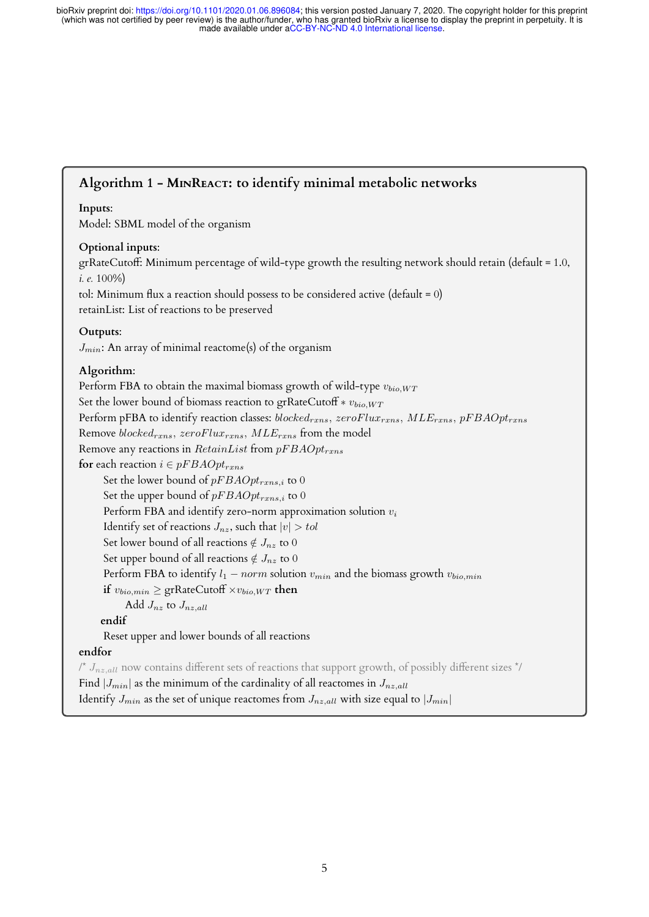## **Algorithm 1 - MINREACT: to identify minimal metabolic networks**

#### **Inputs**:

Model: SBML model of the organism

#### **Optional inputs**:

grRateCutoff: Minimum percentage of wild-type growth the resulting network should retain (default = 1.0, *i. e.* 100%)

tol: Minimum flux a reaction should possess to be considered active (default = 0) retainList: List of reactions to be preserved

#### **Outputs**:

 $J_{min}$ : An array of minimal reactome(s) of the organism

#### **Algorithm**:

Perform FBA to obtain the maximal biomass growth of wild-type  $v_{bio,WT}$ Set the lower bound of biomass reaction to grRateCutoff  $* v_{bio,WT}$ Perform pFBA to identify reaction classes:  $blocker_{rms}$ ,  $zeroFlux_{rms}$ ,  $MLE_{rms}$ ,  $pFBAOpt_{rms}$ Remove  $blocked_{rms}$ ,  $zeroFlux_{rms}$ ,  $MLE_{rms}$  from the model Remove any reactions in  $RetainList$  from  $pFBAOpt_{rms}$ **for** each reaction  $i \in pFBAOpt_{rxns}$ Set the lower bound of  $pFBAOpt_{rxns,i}$  to 0 Set the upper bound of  $pFBAOpt_{rxns,i}$  to 0 Perform FBA and identify zero-norm approximation solution  $v_i$ Identify set of reactions  $J_{nz}$ , such that  $|v| > tol$ Set lower bound of all reactions  $\notin J_{nz}$  to 0 Set upper bound of all reactions  $\notin J_{nz}$  to 0 Perform FBA to identify  $l_1 - norm$  solution  $v_{min}$  and the biomass growth  $v_{bio,min}$ **if**  $v_{bio,min} \geq$  grRateCutoff  $\times v_{bio,WT}$  **then** Add  $J_{nz}$  to  $J_{nz,all}$ **endif** Reset upper and lower bounds of all reactions **endfor**  $/$ \*  $J_{nz,all}$  now contains different sets of reactions that support growth, of possibly different sizes  $^{\star}$ / Find  $|J_{min}|$  as the minimum of the cardinality of all reactomes in  $J_{nz,all}$ 

Identify  $J_{min}$  as the set of unique reactomes from  $J_{nz,all}$  with size equal to  $|J_{min}|$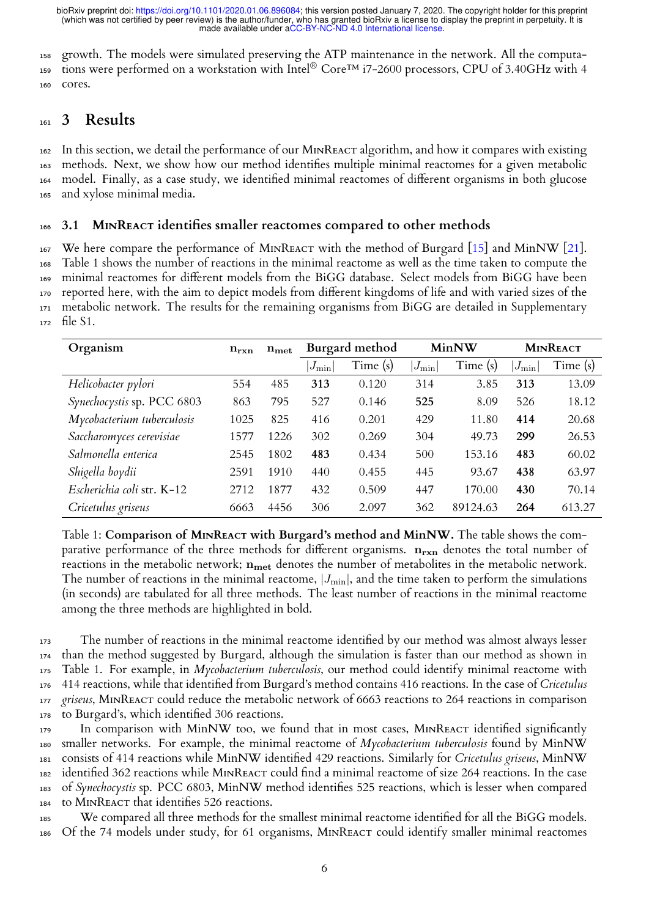<sup>158</sup> growth. The models were simulated preserving the ATP maintenance in the network. All the computa-159 tions were performed on a workstation with Intel® Core™ i7-2600 processors, CPU of 3.40GHz with 4 <sup>160</sup> cores.

## <sup>161</sup> **3 Results**

 In this section, we detail the performance of our MINREACT algorithm, and how it compares with existing methods. Next, we show how our method identifies multiple minimal reactomes for a given metabolic model. Finally, as a case study, we identified minimal reactomes of different organisms in both glucose and xylose minimal media.

#### <sup>166</sup> **3.1 MINREACT identifies smaller reactomes compared to other methods**

167 We here compare the performance of MINREACT with the method of Burgard [15] and MinNW [21]. Table 1 shows the number of reactions in the minimal reactome as well as the time taken to compute the minimal reactomes for different models from the BiGG database. Select models from BiGG have been reported here, with the aim to depict models from different kingdoms of life and with varied sizes of the metabolic network. The results for the remaining organisms from BiGG are detailed in Supplementary <sup>172</sup> file S1.

| Organism                   | $n_{\rm rxn}$ | $n_{\rm met}$ | Burgard method |          | MinNW        |          | <b>MINREACT</b> |          |
|----------------------------|---------------|---------------|----------------|----------|--------------|----------|-----------------|----------|
|                            |               |               | $ J_{\min} $   | Time (s) | $ J_{\min} $ | Time (s) | $ J_{\min} $    | Time (s) |
| Helicobacter pylori        | 554           | 485           | 313            | 0.120    | 314          | 3.85     | 313             | 13.09    |
| Synechocystis sp. PCC 6803 | 863           | 795           | 527            | 0.146    | 525          | 8.09     | 526             | 18.12    |
| Mycobacterium tuberculosis | 1025          | 825           | 416            | 0.201    | 429          | 11.80    | 414             | 20.68    |
| Saccharomyces cerevisiae   | 1577          | 1226          | 302            | 0.269    | 304          | 49.73    | 299             | 26.53    |
| Salmonella enterica        | 2545          | 1802          | 483            | 0.434    | 500          | 153.16   | 483             | 60.02    |
| Shigella boydii            | 2591          | 1910          | 440            | 0.455    | 445          | 93.67    | 438             | 63.97    |
| Escherichia coli str. K-12 | 2712          | 1877          | 432            | 0.509    | 447          | 170.00   | 430             | 70.14    |
| Cricetulus griseus         | 6663          | 4456          | 306            | 2.097    | 362          | 89124.63 | 264             | 613.27   |

Table 1: **Comparison of MINREACT with Burgard's method and MinNW.** The table shows the comparative performance of the three methods for different organisms.  $n_{rxn}$  denotes the total number of reactions in the metabolic network;  $n_{\text{met}}$  denotes the number of metabolites in the metabolic network. The number of reactions in the minimal reactome,  $|J_{\text{min}}|$ , and the time taken to perform the simulations (in seconds) are tabulated for all three methods. The least number of reactions in the minimal reactome among the three methods are highlighted in bold.

 The number of reactions in the minimal reactome identified by our method was almost always lesser than the method suggested by Burgard, although the simulation is faster than our method as shown in Table 1. For example, in *Mycobacterium tuberculosis*, our method could identify minimal reactome with 414 reactions, while that identified from Burgard's method contains 416 reactions. In the case of *Cricetulus griseus*, MINREACT could reduce the metabolic network of 6663 reactions to 264 reactions in comparison to Burgard's, which identified 306 reactions.

 In comparison with MinNW too, we found that in most cases, MINREACT identified significantly smaller networks. For example, the minimal reactome of *Mycobacterium tuberculosis* found by MinNW consists of 414 reactions while MinNW identified 429 reactions. Similarly for *Cricetulus griseus*, MinNW identified 362 reactions while MINREACT could find a minimal reactome of size 264 reactions. In the case of *Synechocystis* sp. PCC 6803, MinNW method identifies 525 reactions, which is lesser when compared to MINREACT that identifies 526 reactions.

<sup>185</sup> We compared all three methods for the smallest minimal reactome identified for all the BiGG models. <sup>186</sup> Of the 74 models under study, for 61 organisms, MINREACT could identify smaller minimal reactomes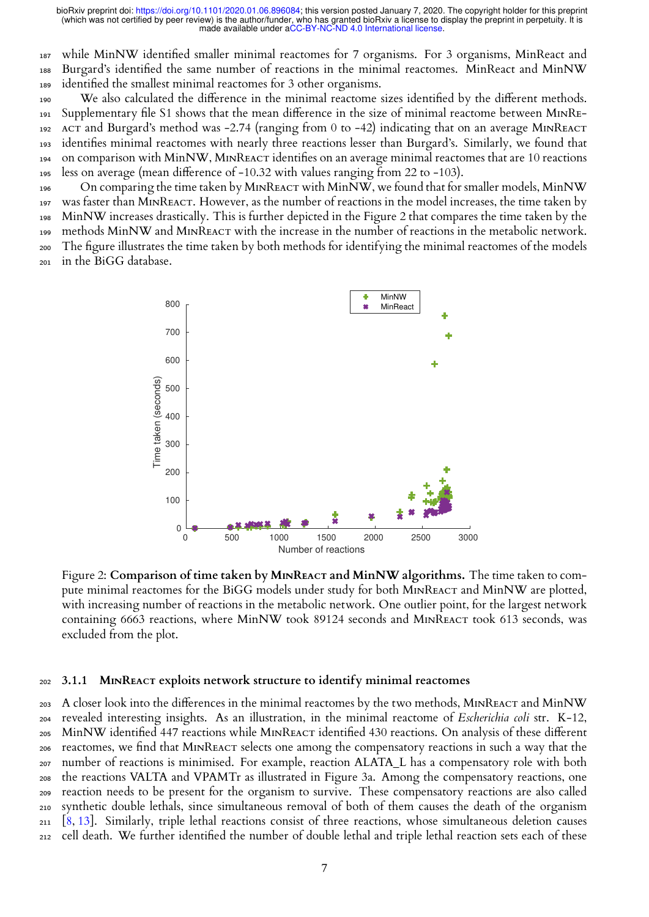while MinNW identified smaller minimal reactomes for 7 organisms. For 3 organisms, MinReact and Burgard's identified the same number of reactions in the minimal reactomes. MinReact and MinNW identified the smallest minimal reactomes for 3 other organisms.

 We also calculated the difference in the minimal reactome sizes identified by the different methods. Supplementary file S1 shows that the mean difference in the size of minimal reactome between MINRE- ACT and Burgard's method was -2.74 (ranging from 0 to -42) indicating that on an average MINREACT identifies minimal reactomes with nearly three reactions lesser than Burgard's. Similarly, we found that on comparison with MinNW, MINREACT identifies on an average minimal reactomes that are 10 reactions less on average (mean difference of -10.32 with values ranging from 22 to -103).

 On comparing the time taken by MINREACT with MinNW, we found that for smaller models, MinNW was faster than MINREACT. However, as the number of reactions in the model increases, the time taken by MinNW increases drastically. This is further depicted in the Figure 2 that compares the time taken by the methods MinNW and MINREACT with the increase in the number of reactions in the metabolic network. The figure illustrates the time taken by both methods for identifying the minimal reactomes of the models in the BiGG database.



Figure 2: **Comparison of time taken by MINREACT and MinNW algorithms.** The time taken to compute minimal reactomes for the BiGG models under study for both MINREACT and MinNW are plotted, with increasing number of reactions in the metabolic network. One outlier point, for the largest network containing 6663 reactions, where MinNW took 89124 seconds and MINREACT took 613 seconds, was excluded from the plot.

#### **3.1.1 MINREACT exploits network structure to identify minimal reactomes**

 A closer look into the differences in the minimal reactomes by the two methods, MINREACT and MinNW revealed interesting insights. As an illustration, in the minimal reactome of *Escherichia coli* str. K-12, MinNW identified 447 reactions while MINREACT identified 430 reactions. On analysis of these different reactomes, we find that MINREACT selects one among the compensatory reactions in such a way that the number of reactions is minimised. For example, reaction ALATA\_L has a compensatory role with both the reactions VALTA and VPAMTr as illustrated in Figure 3a. Among the compensatory reactions, one reaction needs to be present for the organism to survive. These compensatory reactions are also called synthetic double lethals, since simultaneous removal of both of them causes the death of the organism [8, 13]. Similarly, triple lethal reactions consist of three reactions, whose simultaneous deletion causes cell death. We further identified the number of double lethal and triple lethal reaction sets each of these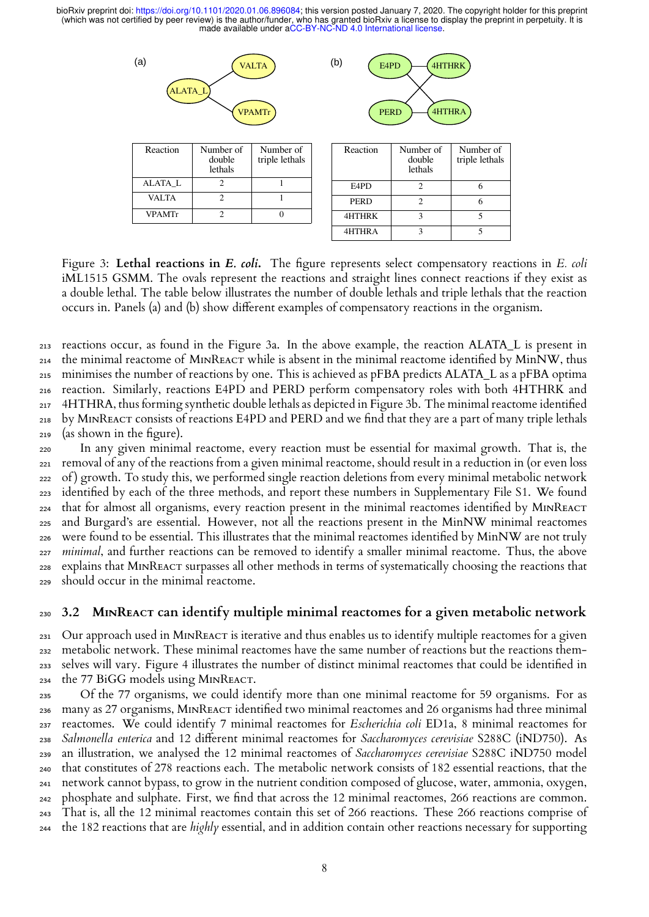

Figure 3: **Lethal reactions in** *E. coli***.** The figure represents select compensatory reactions in *E. coli* iML1515 GSMM. The ovals represent the reactions and straight lines connect reactions if they exist as a double lethal. The table below illustrates the number of double lethals and triple lethals that the reaction occurs in. Panels (a) and (b) show different examples of compensatory reactions in the organism.

 reactions occur, as found in the Figure 3a. In the above example, the reaction ALATA\_L is present in the minimal reactome of MINREACT while is absent in the minimal reactome identified by MinNW, thus minimises the number of reactions by one. This is achieved as pFBA predicts ALATA\_L as a pFBA optima reaction. Similarly, reactions E4PD and PERD perform compensatory roles with both 4HTHRK and 4HTHRA, thus forming synthetic double lethals as depicted in Figure 3b. The minimal reactome identified by MINREACT consists of reactions E4PD and PERD and we find that they are a part of many triple lethals (as shown in the figure).

 In any given minimal reactome, every reaction must be essential for maximal growth. That is, the removal of any of the reactions from a given minimal reactome, should result in a reduction in (or even loss of ) growth. To study this, we performed single reaction deletions from every minimal metabolic network identified by each of the three methods, and report these numbers in Supplementary File S1. We found that for almost all organisms, every reaction present in the minimal reactomes identified by MINREACT and Burgard's are essential. However, not all the reactions present in the MinNW minimal reactomes were found to be essential. This illustrates that the minimal reactomes identified by MinNW are not truly *minimal*, and further reactions can be removed to identify a smaller minimal reactome. Thus, the above explains that MINREACT surpasses all other methods in terms of systematically choosing the reactions that should occur in the minimal reactome.

#### <sup>230</sup> **3.2 MINREACT can identify multiple minimal reactomes for a given metabolic network**

 Our approach used in MINREACT is iterative and thus enables us to identify multiple reactomes for a given metabolic network. These minimal reactomes have the same number of reactions but the reactions them- selves will vary. Figure 4 illustrates the number of distinct minimal reactomes that could be identified in the 77 BiGG models using MINREACT.

 Of the 77 organisms, we could identify more than one minimal reactome for 59 organisms. For as many as 27 organisms, MINREACT identified two minimal reactomes and 26 organisms had three minimal reactomes. We could identify 7 minimal reactomes for *Escherichia coli* ED1a, 8 minimal reactomes for *Salmonella enterica* and 12 different minimal reactomes for *Saccharomyces cerevisiae* S288C (iND750). As an illustration, we analysed the 12 minimal reactomes of *Saccharomyces cerevisiae* S288C iND750 model that constitutes of 278 reactions each. The metabolic network consists of 182 essential reactions, that the network cannot bypass, to grow in the nutrient condition composed of glucose, water, ammonia, oxygen, phosphate and sulphate. First, we find that across the 12 minimal reactomes, 266 reactions are common. That is, all the 12 minimal reactomes contain this set of 266 reactions. These 266 reactions comprise of the 182 reactions that are *highly* essential, and in addition contain other reactions necessary for supporting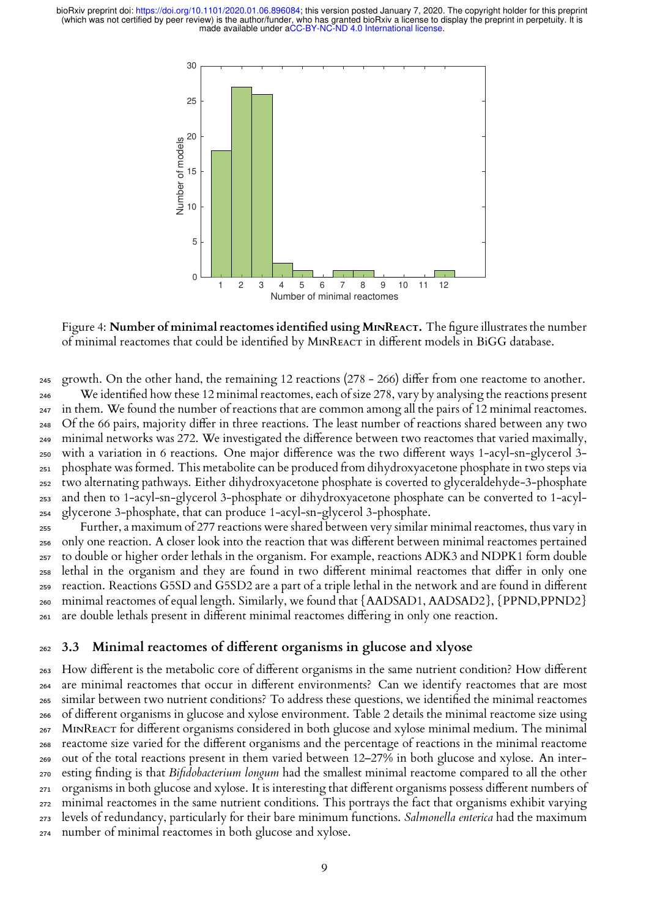

Figure 4: **Number of minimal reactomes identified using MINREACT.** The figure illustrates the number of minimal reactomes that could be identified by MINREACT in different models in BiGG database.

 growth. On the other hand, the remaining 12 reactions (278 - 266) differ from one reactome to another. We identified how these 12 minimal reactomes, each of size 278, vary by analysing the reactions present in them. We found the number of reactions that are common among all the pairs of 12 minimal reactomes. Of the 66 pairs, majority differ in three reactions. The least number of reactions shared between any two minimal networks was 272. We investigated the difference between two reactomes that varied maximally, with a variation in 6 reactions. One major difference was the two different ways 1-acyl-sn-glycerol 3- phosphate was formed. This metabolite can be produced from dihydroxyacetone phosphate in two steps via two alternating pathways. Either dihydroxyacetone phosphate is coverted to glyceraldehyde-3-phosphate and then to 1-acyl-sn-glycerol 3-phosphate or dihydroxyacetone phosphate can be converted to 1-acyl-glycerone 3-phosphate, that can produce 1-acyl-sn-glycerol 3-phosphate.

 Further, a maximum of 277 reactions were shared between very similar minimal reactomes, thus vary in only one reaction. A closer look into the reaction that was different between minimal reactomes pertained to double or higher order lethals in the organism. For example, reactions ADK3 and NDPK1 form double lethal in the organism and they are found in two different minimal reactomes that differ in only one reaction. Reactions G5SD and G5SD2 are a part of a triple lethal in the network and are found in different minimal reactomes of equal length. Similarly, we found that {AADSAD1, AADSAD2}, {PPND,PPND2} are double lethals present in different minimal reactomes differing in only one reaction.

### **3.3 Minimal reactomes of different organisms in glucose and xlyose**

 How different is the metabolic core of different organisms in the same nutrient condition? How different are minimal reactomes that occur in different environments? Can we identify reactomes that are most similar between two nutrient conditions? To address these questions, we identified the minimal reactomes of different organisms in glucose and xylose environment. Table 2 details the minimal reactome size using MINREACT for different organisms considered in both glucose and xylose minimal medium. The minimal reactome size varied for the different organisms and the percentage of reactions in the minimal reactome out of the total reactions present in them varied between 12–27% in both glucose and xylose. An inter- esting finding is that *Bifidobacterium longum* had the smallest minimal reactome compared to all the other organisms in both glucose and xylose. It is interesting that different organisms possess different numbers of minimal reactomes in the same nutrient conditions. This portrays the fact that organisms exhibit varying levels of redundancy, particularly for their bare minimum functions. *Salmonella enterica* had the maximum number of minimal reactomes in both glucose and xylose.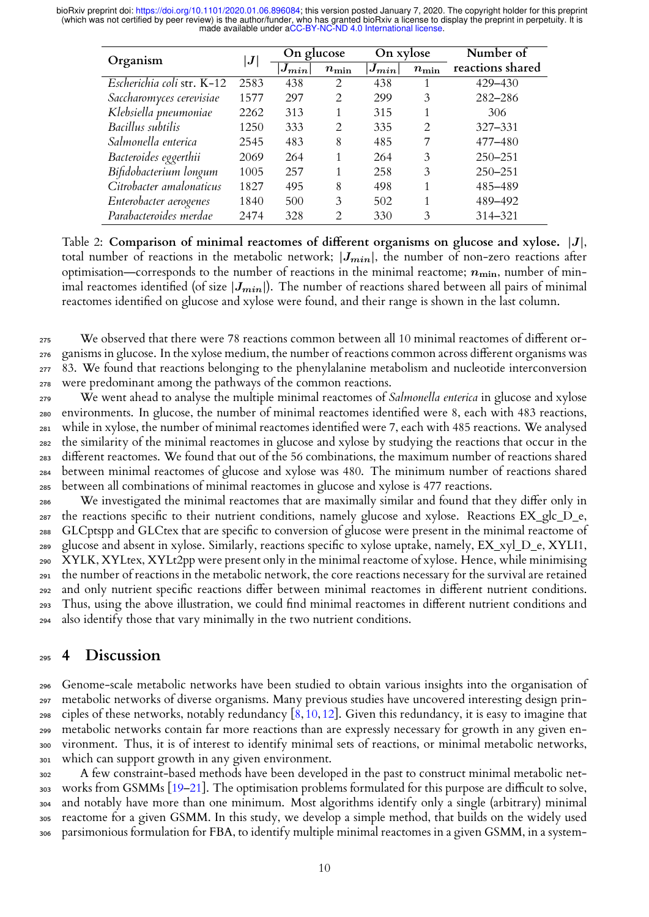| Organism                   | $\bm{J}$ | On glucose  |                             | On xylose   |            | Number of        |  |
|----------------------------|----------|-------------|-----------------------------|-------------|------------|------------------|--|
|                            |          | $ J_{min} $ | $n_{\min}$                  | $ J_{min} $ | $n_{\min}$ | reactions shared |  |
| Escherichia coli str. K-12 | 2583     | 438         | 2                           | 438         |            | 429-430          |  |
| Saccharomyces cerevisiae   | 1577     | 297         | $\mathcal{D}_{\mathcal{L}}$ | 299         | 3          | 282-286          |  |
| Klebsiella pneumoniae      | 2262     | 313         |                             | 315         |            | 306              |  |
| Bacillus subtilis          | 1250     | 333         | 2                           | 335         | 2          | 327-331          |  |
| Salmonella enterica        | 2545     | 483         | 8                           | 485         |            | 477-480          |  |
| Bacteroides eggerthii      | 2069     | 264         |                             | 264         | 3          | $250 - 251$      |  |
| Bifidobacterium longum     | 1005     | 257         |                             | 258         | 3          | $250 - 251$      |  |
| Citrobacter amalonaticus   | 1827     | 495         | 8                           | 498         |            | 485-489          |  |
| Enterobacter aerogenes     | 1840     | 500         | 3                           | 502         |            | 489-492          |  |
| Parabacteroides merdae     | 2474     | 328         | 2                           | 330         | 3          | 314-321          |  |

Table 2: **Comparison of minimal reactomes of different organisms on glucose and xylose.** |J|, total number of reactions in the metabolic network;  $|J_{min}|$ , the number of non-zero reactions after optimisation—corresponds to the number of reactions in the minimal reactome;  $n_{\min}$ , number of minimal reactomes identified (of size  $|J_{min}|$ ). The number of reactions shared between all pairs of minimal reactomes identified on glucose and xylose were found, and their range is shown in the last column.

 We observed that there were 78 reactions common between all 10 minimal reactomes of different or- ganisms in glucose. In the xylose medium, the number of reactions common across different organisms was 83. We found that reactions belonging to the phenylalanine metabolism and nucleotide interconversion were predominant among the pathways of the common reactions.

 We went ahead to analyse the multiple minimal reactomes of *Salmonella enterica* in glucose and xylose environments. In glucose, the number of minimal reactomes identified were 8, each with 483 reactions, while in xylose, the number of minimal reactomes identified were 7, each with 485 reactions. We analysed the similarity of the minimal reactomes in glucose and xylose by studying the reactions that occur in the different reactomes. We found that out of the 56 combinations, the maximum number of reactions shared between minimal reactomes of glucose and xylose was 480. The minimum number of reactions shared between all combinations of minimal reactomes in glucose and xylose is 477 reactions.

 We investigated the minimal reactomes that are maximally similar and found that they differ only in the reactions specific to their nutrient conditions, namely glucose and xylose. Reactions EX\_glc\_D\_e, GLCptspp and GLCtex that are specific to conversion of glucose were present in the minimal reactome of glucose and absent in xylose. Similarly, reactions specific to xylose uptake, namely, EX\_xyl\_D\_e, XYLI1, XYLK, XYLtex, XYLt2pp were present only in the minimal reactome of xylose. Hence, while minimising the number of reactions in the metabolic network, the core reactions necessary for the survival are retained and only nutrient specific reactions differ between minimal reactomes in different nutrient conditions. Thus, using the above illustration, we could find minimal reactomes in different nutrient conditions and also identify those that vary minimally in the two nutrient conditions.

## <sup>295</sup> **4 Discussion**

 Genome-scale metabolic networks have been studied to obtain various insights into the organisation of metabolic networks of diverse organisms. Many previous studies have uncovered interesting design prin- ciples of these networks, notably redundancy [8, 10, 12]. Given this redundancy, it is easy to imagine that metabolic networks contain far more reactions than are expressly necessary for growth in any given en- vironment. Thus, it is of interest to identify minimal sets of reactions, or minimal metabolic networks, which can support growth in any given environment.

 A few constraint-based methods have been developed in the past to construct minimal metabolic net- works from GSMMs [19–21]. The optimisation problems formulated for this purpose are difficult to solve, and notably have more than one minimum. Most algorithms identify only a single (arbitrary) minimal reactome for a given GSMM. In this study, we develop a simple method, that builds on the widely used parsimonious formulation for FBA, to identify multiple minimal reactomes in a given GSMM, in a system-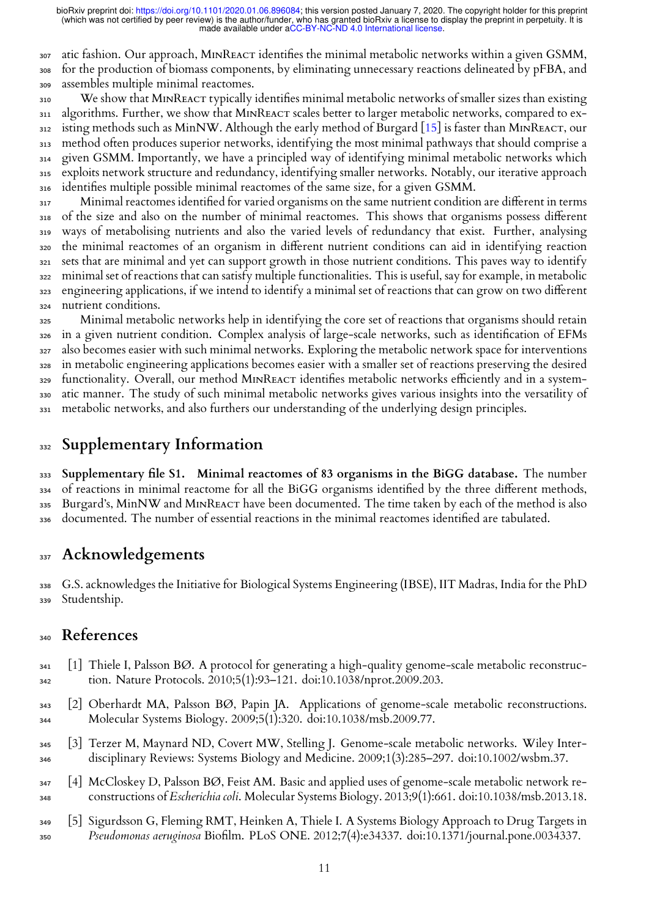atic fashion. Our approach, MINREACT identifies the minimal metabolic networks within a given GSMM, for the production of biomass components, by eliminating unnecessary reactions delineated by pFBA, and assembles multiple minimal reactomes.

 We show that MINREACT typically identifies minimal metabolic networks of smaller sizes than existing algorithms. Further, we show that MINREACT scales better to larger metabolic networks, compared to ex- isting methods such as MinNW. Although the early method of Burgard [15] is faster than MINREACT, our method often produces superior networks, identifying the most minimal pathways that should comprise a given GSMM. Importantly, we have a principled way of identifying minimal metabolic networks which exploits network structure and redundancy, identifying smaller networks. Notably, our iterative approach identifies multiple possible minimal reactomes of the same size, for a given GSMM.

 Minimal reactomes identified for varied organisms on the same nutrient condition are different in terms of the size and also on the number of minimal reactomes. This shows that organisms possess different ways of metabolising nutrients and also the varied levels of redundancy that exist. Further, analysing the minimal reactomes of an organism in different nutrient conditions can aid in identifying reaction sets that are minimal and yet can support growth in those nutrient conditions. This paves way to identify minimal set of reactions that can satisfy multiple functionalities. This is useful, say for example, in metabolic engineering applications, if we intend to identify a minimal set of reactions that can grow on two different nutrient conditions.

 Minimal metabolic networks help in identifying the core set of reactions that organisms should retain in a given nutrient condition. Complex analysis of large-scale networks, such as identification of EFMs also becomes easier with such minimal networks. Exploring the metabolic network space for interventions in metabolic engineering applications becomes easier with a smaller set of reactions preserving the desired functionality. Overall, our method MINREACT identifies metabolic networks efficiently and in a system- atic manner. The study of such minimal metabolic networks gives various insights into the versatility of metabolic networks, and also furthers our understanding of the underlying design principles.

## **Supplementary Information**

 **Supplementary file S1. Minimal reactomes of 83 organisms in the BiGG database.** The number of reactions in minimal reactome for all the BiGG organisms identified by the three different methods, Burgard's, MinNW and MINREACT have been documented. The time taken by each of the method is also documented. The number of essential reactions in the minimal reactomes identified are tabulated.

## **Acknowledgements**

 G.S. acknowledges the Initiative for Biological Systems Engineering (IBSE), IIT Madras, India for the PhD Studentship.

## **References**

- $_{341}$  [1] Thiele I, Palsson BØ. A protocol for generating a high-quality genome-scale metabolic reconstruc-tion. Nature Protocols. 2010;5(1):93–121. doi:10.1038/nprot.2009.203.
- [2] Oberhardt MA, Palsson BØ, Papin JA. Applications of genome-scale metabolic reconstructions. Molecular Systems Biology. 2009;5(1):320. doi:10.1038/msb.2009.77.
- [3] Terzer M, Maynard ND, Covert MW, Stelling J. Genome-scale metabolic networks. Wiley Inter-disciplinary Reviews: Systems Biology and Medicine. 2009;1(3):285–297. doi:10.1002/wsbm.37.
- [4] McCloskey D, Palsson BØ, Feist AM. Basic and applied uses of genome-scale metabolic network re-constructions of *Escherichia coli*. Molecular Systems Biology. 2013;9(1):661. doi:10.1038/msb.2013.18.
- [5] Sigurdsson G, Fleming RMT, Heinken A, Thiele I. A Systems Biology Approach to Drug Targets in *Pseudomonas aeruginosa* Biofilm. PLoS ONE. 2012;7(4):e34337. doi:10.1371/journal.pone.0034337.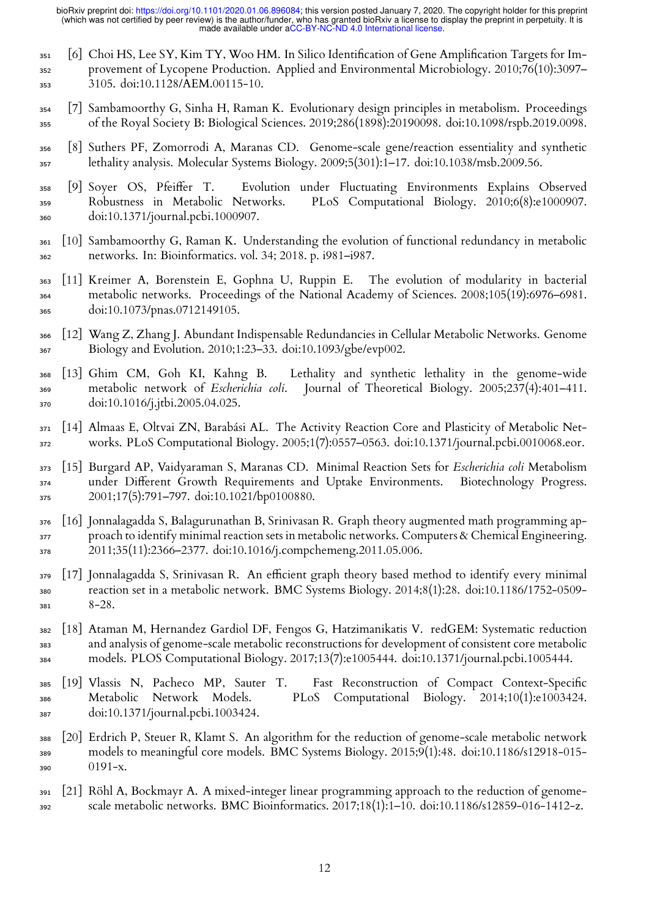- [6] Choi HS, Lee SY, Kim TY, Woo HM. In Silico Identification of Gene Amplification Targets for Im- provement of Lycopene Production. Applied and Environmental Microbiology. 2010;76(10):3097– 3105. doi:10.1128/AEM.00115-10.
- [7] Sambamoorthy G, Sinha H, Raman K. Evolutionary design principles in metabolism. Proceedings of the Royal Society B: Biological Sciences. 2019;286(1898):20190098. doi:10.1098/rspb.2019.0098.
- [8] Suthers PF, Zomorrodi A, Maranas CD. Genome-scale gene/reaction essentiality and synthetic lethality analysis. Molecular Systems Biology. 2009;5(301):1–17. doi:10.1038/msb.2009.56.
- [9] Soyer OS, Pfeiffer T. Evolution under Fluctuating Environments Explains Observed Robustness in Metabolic Networks. PLoS Computational Biology. 2010;6(8):e1000907. doi:10.1371/journal.pcbi.1000907.
- [10] Sambamoorthy G, Raman K. Understanding the evolution of functional redundancy in metabolic networks. In: Bioinformatics. vol. 34; 2018. p. i981–i987.
- [11] Kreimer A, Borenstein E, Gophna U, Ruppin E. The evolution of modularity in bacterial metabolic networks. Proceedings of the National Academy of Sciences. 2008;105(19):6976–6981. doi:10.1073/pnas.0712149105.
- [12] Wang Z, Zhang J. Abundant Indispensable Redundancies in Cellular Metabolic Networks. Genome Biology and Evolution. 2010;1:23–33. doi:10.1093/gbe/evp002.
- [13] Ghim CM, Goh KI, Kahng B. Lethality and synthetic lethality in the genome-wide metabolic network of *Escherichia coli*. Journal of Theoretical Biology. 2005;237(4):401–411. doi:10.1016/j.jtbi.2005.04.025.
- [14] Almaas E, Oltvai ZN, Barabási AL. The Activity Reaction Core and Plasticity of Metabolic Net-works. PLoS Computational Biology. 2005;1(7):0557–0563. doi:10.1371/journal.pcbi.0010068.eor.
- [15] Burgard AP, Vaidyaraman S, Maranas CD. Minimal Reaction Sets for *Escherichia coli* Metabolism under Different Growth Requirements and Uptake Environments. Biotechnology Progress. 2001;17(5):791–797. doi:10.1021/bp0100880.
- [16] Jonnalagadda S, Balagurunathan B, Srinivasan R. Graph theory augmented math programming ap- proach to identify minimal reaction sets in metabolic networks. Computers & Chemical Engineering. 2011;35(11):2366–2377. doi:10.1016/j.compchemeng.2011.05.006.
- [17] Jonnalagadda S, Srinivasan R. An efficient graph theory based method to identify every minimal reaction set in a metabolic network. BMC Systems Biology. 2014;8(1):28. doi:10.1186/1752-0509- 8-28.
- [18] Ataman M, Hernandez Gardiol DF, Fengos G, Hatzimanikatis V. redGEM: Systematic reduction and analysis of genome-scale metabolic reconstructions for development of consistent core metabolic models. PLOS Computational Biology. 2017;13(7):e1005444. doi:10.1371/journal.pcbi.1005444.
- [19] Vlassis N, Pacheco MP, Sauter T. Fast Reconstruction of Compact Context-Specific Metabolic Network Models. PLoS Computational Biology. 2014;10(1):e1003424. doi:10.1371/journal.pcbi.1003424.
- [20] Erdrich P, Steuer R, Klamt S. An algorithm for the reduction of genome-scale metabolic network models to meaningful core models. BMC Systems Biology. 2015;9(1):48. doi:10.1186/s12918-015- 0191-x.
- [21] Röhl A, Bockmayr A. A mixed-integer linear programming approach to the reduction of genome-scale metabolic networks. BMC Bioinformatics. 2017;18(1):1–10. doi:10.1186/s12859-016-1412-z.